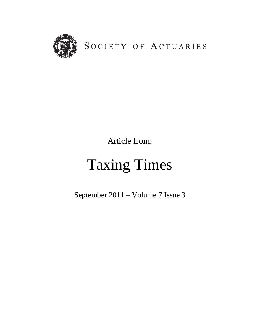

SOCIETY OF ACTUARIES

Article from:

# Taxing Times

September 2011 – Volume 7 Issue 3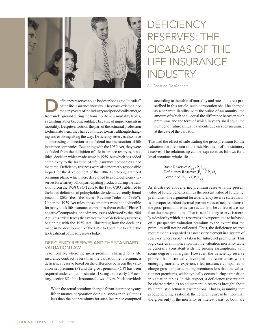# **DEFICIENCY** RESERVES: THE CICADAS OF THE LIFE INSURANCE INDUSTRY

*By Christian DesRochers*

eficiency reserves could be described as the "cicadas" of the life insurance industry. They have existed since the early years of the industry and periodically emerge from underground during the transition to new mertelity of the life insurance industry. They have existed since from underground during the transition to new mortality tables, as existing tables become outdated because of improvements in mortality. Despite efforts on the part of the actuarial profession to eliminate them, they have continued to exist, although changing and evolving along the way. Deficiency reserves also have an interesting connection to the federal income taxation of life insurance companies. Beginning with the 1959 Act, they were excluded from the definition of life insurance reserves, a political decision which made sense in 1959, but which has added complexity to the taxation of life insurance companies since that time. Deficiency reserves were also indirectly responsible in part for the development of the 1984 Act. Nonguaranteed premium plans, which were developed to avoid deficiency reserves for a variety of nonparticipating products during the transition from the 1958 CSO Table to the 1980 CSO Table, led to the broad definition of policyholder dividends currently found in section 808 of the of the Internal Revenue Code (the "Code"). Under the 1959 Act rules, these amounts were not deductible for many stock life insurance companies, the so-called "Phase II negative" companies, one of many issues addressed by the 1984 Act. This article traces the tax treatment of deficiency reserves, beginning with the 1959 Act, illustrating how the decisions made in the development of the 1959 Act continue to affect the tax treatment of those reserves today.

# DEFICIENCY RESERVES AND THE STANDARD VALUATION LAW

Traditionally, where the gross premium charged for a life insurance contract is less than the valuation net premium, a deficiency reserve based on the difference between the valuation net premium (P) and the gross premium (GP) has been required under valuation statutes. Dating to the early 20<sup>th</sup> century, section 85 of the Insurance Laws of New York provided:

 When the actual premium charged for an insurance by any life insurance corporation doing business in this State is less than the net premiums for such insurance computed according to the table of mortality and rate of interest prescribed in this article, such corporation shall be charged as a separate liability with the value of an annuity, the amount of which shall equal the difference between such premiums and the term of which in years shall equal the number of future annual payments due on such insurance at the date of the valuation.<sup>1</sup>

This had the effect of substituting the gross premium for the valuation net premium in the establishment of the statutory reserves. The relationship can be expressed as follows for a level premium whole life plan:

Basic Reserve:  $A_{x+t}$  -  $P_{x}$   $\ddot{a}_{x+t}$ Deficiency Reserve:  $(P_x - GP_x)$   $\ddot{a}_{x+t}$ Combined:  $A_{x+t}$  -  $GP_{x}$   $\ddot{a}_{x+t}$ 

As illustrated above, a net premium reserve is the present value of future benefits minus the present value of future net premiums. The argument for a deficiency reserve states that it is improper to deduct the total present value of net premiums if the gross premiums which are actually to be collected are less than those net premiums. That is, a deficiency reserve is merely a device by which the reserve is never permitted to be based on a prospective valuation premium to the extent that the premium will not be collected. Thus, the deficiency reserve requirement is regarded as a necessary element in a system of reserves where credit is taken for future net premiums. This logic carries an implication that the valuation mortality table is generally consistent with the pricing assumptions, with some degree of margins. However, the deficiency reserve problem has historically developed in circumstances where emerging mortality experience led insurance companies to charge gross nonparticipating premiums less than the valuation net premiums, which typically occurs during a transition in valuation tables. In this respect, a deficiency reserve can be characterized as an adjustment in reserves brought about by unrealistic actuarial assumptions. That is, assuming that product pricing is rational, the net premium can be more than the gross only if the mortality or interest basis, or both, are

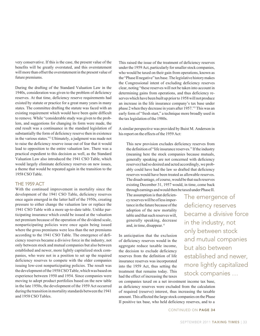very conservative. If this is the case, the present value of the benefits will be greatly overstated, and this overstatement will more than offset the overstatement in the present value of future premiums.

During the drafting of the Standard Valuation Law in the 1940s, consideration was given to the problem of deficiency reserves. At that time, deficiency reserve requirements had existed by statute or practice for a great many years in many states. The committee drafting the statute was faced with an existing requirement which would have been quite difficult to remove. While "considerable study was given to the problem, and suggestions for changing its form were made, the end result was a continuance in the standard legislation of substantially the form of deficiency reserve then in existence in the various states."2 Ultimately, a judgment was made not to raise the deficiency reserve issue out of fear that it would lead to opposition to the entire valuation law. There was a practical expedient to this decision as well, as the Standard Valuation Law also introduced the 1941 CSO Table, which would largely eliminate deficiency reserves on new issues, a theme that would be repeated again in the transition to the 1958 CSO Table.

#### THE 1959 ACT

With the continued improvement in mortality since the development of the 1941 CSO Table, deficiency reserves once again emerged in the latter half of the 1950s, creating pressure to either change the valuation law or replace the 1941 CSO Table with a more up-to-date table. Unlike participating insurance which could be issued at the valuation net premium because of the operation of the dividend scale, nonparticipating policies were once again being issued where the gross premiums were less than the net premiums according to the 1941 CSO Table. The emergence of deficiency reserves became a divisive force in the industry, not only between stock and mutual companies but also between established and newer, more lightly capitalized stock companies, who were not in a position to set up the required deficiency reserves to compete with the older companies issuing low-cost nonparticipating policies. The result was the development of the 1958 CSO Table, which was based on experience between 1950 and 1954. Since companies were moving to adopt product portfolios based on the new table in the late 1950s, the development of the 1959 Act occurred during the transition in mortality standards between the 1941 and 1958 CSO Tables.

This raised the issue of the treatment of deficiency reserves under the 1959 Act, particularly for smaller stock companies, who would be taxed on their gain from operations, known as the "Phase II negative" tax base. The legislative history makes the Congressional intent of excluding deficiency reserves clear, noting "these reserves will not be taken into account in determining gains from operations, and thus deficiency reserves which have been built up prior to 1958 will not produce an increase in the life insurance company's tax base under phase 2 when they decrease in years after 1957."3 This was an early form of "fresh start," a technique more broadly used in the tax legislation of the 1980s.

A similar perspective was provided by Buist M. Anderson in his report on the effects of the 1959 Act:

This new provision excludes deficiency reserves from the definition of "life insurance reserves." If the industry (meaning here the stock companies because mutuals, generally speaking are not concerned with deficiency reserves) had so desired and acted accordingly, we probably could have had the law so drafted that deficiency reserves would have been treated as allowable reserves. The disadvantage, of course, would be that such reserves existing December 31, 1957 would, in time, come back through earnings and would then be taxed under Phase II.

The assumption is that deficiency reserves will be of less importance in the future because of the adoption of the new mortality table and that such reserves will, generally speaking, decrease and, in time, disappear. 4

In anticipation that the exclusion of deficiency reserves would in the aggregate reduce taxable income, the decision to exclude deficiency reserves from the definition of life insurance reserves was incorporated into the 1959 Act, thus setting the treatment that remains today. This had the effect of increasing the taxes

The emergence of deficiency reserves became a divisive force in the industry, not only between stock and mutual companies but also between established and newer, more lightly capitalized stock companies …

on companies taxed on a net investment income tax base, as deficiency reserves were excluded from the calculation of required (reserve) interest, thus increasing the taxable amount. This affected the large stock companies on the Phase II positive tax base, who held deficiency reserves, and to a

CONTINUED ON PAGE 34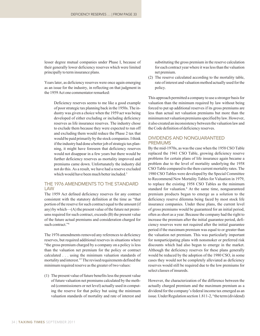lesser degree mutual companies under Phase I, because of their generally lower deficiency reserves which were limited principally to term insurance plans.

Years later, as deficiency reserves were once again emerging as an issue for the industry, in reflecting on that judgment in the 1959 Act one commentator remarked:

Deficiency reserves seems to me like a good example of poor strategic tax planning back in the 1950s. The industry was given a choice when the 1959 act was being developed of either excluding or including deficiency reserves as life insurance reserves. The industry chose to exclude them because they were expected to run off and excluding them would reduce the Phase 2 tax that would be paid primarily by the stock companies. I think if the industry had done a better job of strategic tax planning, it might have foreseen that deficiency reserves would not disappear in a few years but there would be further deficiency reserves as mortality improved and premiums came down. Unfortunately the industry did not do this. As a result, we have had a reserve excluded which would have been much better included.<sup>5</sup>

## THE 1976 AMENDMENTS TO THE STANDARD LAW

The 1959 Act defined deficiency reserves for any contract consistent with the statutory definition at the time as "that portion of the reserve for such contract equal to the amount (if any) by which—(A) the present value of the future net premiums required for such contract, exceeds (B) the present value of the future actual premiums and consideration charged for such contract."<sup>6</sup>

The 1976 amendments removed any references to deficiency reserves, but required additional reserves in situations where "the gross premium charged by a company on a policy is less than the valuation net premium for the policy or contract calculated . . . using the minimum valuation standards of mortality and interest."7 The revised requirements defined the minimum required reserve as the greater of two values:

(1) The present value of future benefits less the present value of future valuation net premiums calculated by the method (commissioners or net level) actually used in computing the reserve for that policy but using the minimum valuation standards of mortality and rate of interest and substituting the gross premium in the reserve calculation for each contract year where it was less than the valuation net premium.

(2) The reserve calculated according to the mortality table, rate of interest and valuation method actually used for the policy.

This approach permitted a company to use a stronger basis for valuation than the minimum required by law without being forced to put up additional reserves if its gross premiums are less than actual net valuation premiums but more than the minimum net valuation premiums specified by law. However, it also created an inconsistency between the valuation law and the Code definition of deficiency reserves.

# DIVIDENDS AND NONGUARANTEED PREMIUMS

By the mid-1970s, as was the case when the 1958 CSO Table replaced the 1941 CSO Table, growing deficiency reserve problems for certain plans of life insurance again became a problem due to the level of mortality underlying the 1958 CSO Table compared to the then-current mortality rates. The 1980 CSO Tables were developed by the Special Committee to Recommend New Mortality Tables for Valuation in 1979, to replace the existing 1958 CSO Tables as the minimum standard for valuation.8 At the same time, nonguaranteed premium products began to emerge as a solution to the deficiency reserve dilemma being faced by most stock life insurance companies. Under these plans, the current level of gross premiums would be guaranteed for an initial period, often as short as a year. Because the company had the right to increase the premium after the initial guarantee period, deficiency reserves were not required after the initial guarantee period if the maximum premium was equal to or greater than the valuation net premium. This was particularly important for nonparticipating plans with nonsmoker or preferred risk discounts which had also begun to emerge in the market. Although the deficiency reserves for these plans generally would be reduced by the adoption of the 1980 CSO, in some cases they would not be completely alleviated as deficiency reserves would still be required due to the low premiums for select classes of insureds.

However, the characterization of the difference between the actually charged premium and the maximum premium as a dividend for the company's federal income tax emerged as an issue. Under Regulation section 1.811-2, "the term (dividend)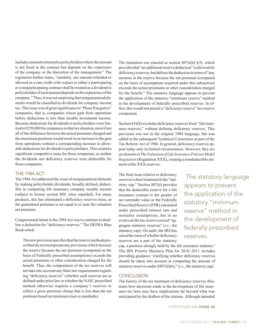includes amounts returned to policyholders where the amount is not fixed in the contract but depends on the experience of the company or the discretion of the management." The regulation further states, "similarly, any amount refunded or allowed as a rate credit with respect to either a participating or a nonparticipating contract shall be treated as a dividend to policyholders if such amount depends on the experience of the company." Thus, it was not surprising that nonguaranteed elements would be classified as dividends for company income tax. This issue was of great significance to "Phase II negative" companies, that is, companies whose gain from operations before deductions is less than taxable investment income. Because deductions for dividends to policyholders were limited to \$250,000 for companies in that tax situation, most if not all of the difference between the actual premium charged and the maximum premium would result in an increase to the gain from operations without a corresponding increase in allowable deductions for dividends to policyholders. This created a significant competitive issue for those companies, as neither the dividends nor deficiency reserves were deductible for those companies.

## THE 1984 ACT

The 1984 Act addressed the issue of nonguaranteed elements by making policyholder dividends, broadly defined, deductible in computing life insurance company taxable income (subject to former section 809, since repealed). For many products, this has eliminated a deficiency reserves issue, as the guaranteed premium is set equal to or near the valuation net premium.

Congressional intent in the 1984 Act was to continue to disallow a deduction for "deficiency reserves." The DEFRA Blue Book noted:

The new provision specifies that the reserve methods prescribed do not incorporate any provisions which increase the reserve because the net premium (computed on the basis of Federally prescribed assumptions) exceeds the actual premiums or other consideration charged for the benefit. Thus, the computation of the tax reserves will not take into account any State law requirements regarding "deficiency reserves" (whether such reserves are as defined under prior law or whether the NAIC prescribed method otherwise requires a company's reserves to reflect a gross premium charge that is less than the net premium based on minimum reserve standards).

The limitation was enacted as section  $807(d)(C)(3)$ , which provides that "no additional reserve deduction" is allowed for deficiency reserves, but defines the deduction in terms of "any increase in the reserve because the net premium (computed on the basis of assumptions required under this subsection) exceeds the actual premiums or other consideration charged for the benefit." The statutory language appears to prevent the application of the statutory "minimum reserve" method in the development of federally prescribed reserves. In effect, this would not permit a "deficiency reserve" tax reserve component.

Section 816(h) excludes deficiency reserves from "life insurance reserves," without defining deficiency reserves. This provision was not in the original 1984 language, but was added in the subsequent Technical Corrections as part of the Tax Reform Act of 1986. In general, deficiency reserves appear today only in limited circumstances. However, they are an element of *The Valuation of Life Insurance Policies Model Regulation* (Regulation XXX), creating a nondeductible element of the XXX reserves.

The final issue relative to deficiency reserves is their treatment in the "statutory cap." Section 807(d) provides that the deductible reserve for a life insurance contract is the greater of net surrender value or the Federally Prescribed Reserve (FPR) calculated under prescribed interest rate and mortality assumptions, but in no event can the tax reserve exceed "aggregate statutory reserves" (*i.e.*, the statutory cap). On audit, the IRS has raised the issue of whether deficiency reserves are a part of the statutory

 The statutory language appears to prevent the application of the statutory "minimum reserve" method in the development of federally prescribed reserves.

cap, a position strongly held by the life insurance industry.<sup>9</sup> The IRS Priority Business Plan for 2010–2011 includes providing guidance "clarifying whether deficiency reserves should be taken into account in computing the amount of statutory reserves under §807(d)(6)," (*i.e.*, the statutory cap).

#### **CONCLUSION**

The history of the tax treatment of deficiency reserves illustrates how decisions made in the development of life insurance tax laws may have implications far beyond what was anticipated by the drafters of the statutes. Although intended

CONTINUED ON PAGE 36